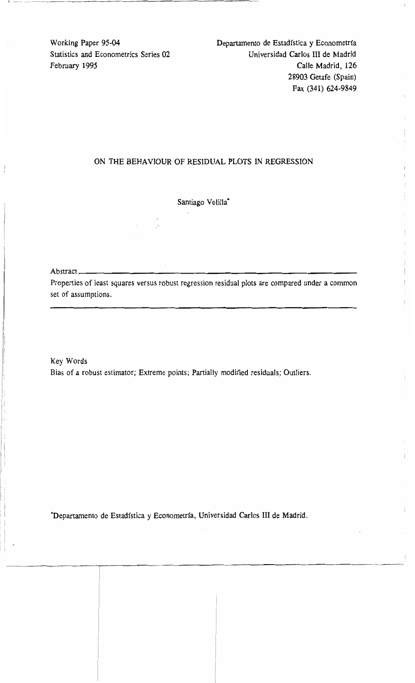Working Paper 95-04 Departamento de Estadfstica y Econometrfa Statistics and Econometrics Series 02 Universidad Carlos III de Madrid February 1995 Calle Madrid, 126 28903 Getafe (Spain) Fax (341) 624-9849

# ON THE BEHAVIOUR OF RESIDUAL PLOTS IN REGRESSION

Santiago Velilla<sup>\*</sup>

# Abstract \_\_\_\_\_\_\_

------------T

-\_\_. . ---"

11. -.--.------..---.-----~

Properties of least squares versus robust regression residual plots are compared under a common set of assumptions.

Key Words Bias of a robust estimator; Extreme points; Partially modified residuals; Outliers.

·Departamento de Estadfstica y Econometrfa, Universidad Carlos III de Madrid.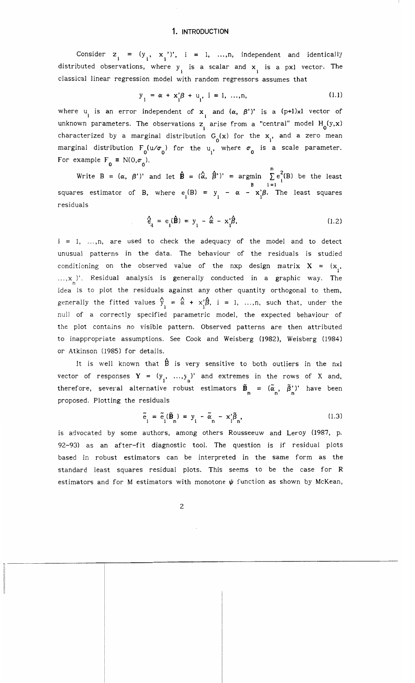#### **1. INTRODUCTION**

Consider  $z_i = (y_i, x_i')$ ,  $i = 1, ..., n$ , independent and identically distributed observations, where  $y_j$  is a scalar and  $x_j$  is a pxl vector. The classical linear regression model with random regressors assumes that

$$
y_{i} = \alpha + x_{i}'\beta + u_{i}, \quad i = 1, ..., n,
$$
\n(1.1)

where  $u_i$  is an error independent of  $x_i$  and  $(\alpha, \beta')'$  is a  $(p+1)x1$  vector of unknown parameters. The observations z<sub>i</sub> arise from a "central" model  $H_0(y,x)$ characterized by a marginal distribution  $G_0(x)$  for the  $x_i$ , and a zero mean marginal distribution  $F^{\,}_{0}$ (u/ $\sigma^{\,}_{0}$ ) for the  $u^{\,}_{1}$ , where  $\sigma^{\,}_{0}$  is a scale parameter. For example  $F_0 \equiv N(0, \sigma_0)$ .

xample  $\Gamma_0 = N(0,0)$ .<br>Write B = ( $\alpha$ ,  $\beta$ ')' and let  $\hat{\mathbf{B}} = (\hat{\alpha}, \hat{\beta}')' = \text{argmin} \sum_{i=1}^{n} e_i^2(B)$  be the least squares estimator of B, where  $e_i(B) = y_i - \alpha - x_i^3 B$ . The least squares residuals

$$
\hat{\mathbf{e}}_i = \mathbf{e}_i(\hat{\mathbf{B}}) = \mathbf{y}_i - \hat{\alpha} - \mathbf{x}_i \hat{\beta}, \qquad (1.2)
$$

 $i = 1, \ldots, n$ , are used to check the adequacy of the model and to detect unusual patterns in the data. The behaviour of the residuals is studied conditioning on the observed value of the nxp design matrix  $X = (x_{1},$  $..., x_n$ )'. Residual analysis is generally conducted in a graphic way. The idea is to plot the residuals against any other quantity orthogonal to them, generally the fitted values  $\hat{y}_i = \hat{\alpha} + x_i \hat{\beta}$ , i = 1, ...,n, such that, under the null of a correctly specified parametric model, the expected behaviour of the plot contains no visible pattern. Observed patterns are then attributed to inappropriate assumptions. See Cook and Weisberg (982). Weisberg (984) or Atkinson (1985) for details.

It is well known that  $\hat{B}$  is very sensitive to both outliers in the nxl vector of responses  $Y = (y_1, ..., y_n)$  and extremes in the rows of X and, therefore, several alternative robust estimators  $\tilde{\mathbf{B}}_n = (\tilde{\alpha}_n, \tilde{\beta}_n^{\prime})'$  have been proposed. Plotting the residuals

$$
\tilde{e}_1 = \tilde{e}_1(\tilde{B}_n) = y_i - \tilde{\alpha}_n - x_i \tilde{\beta}_n,
$$
\n(1.3)

is advocated by some authors, among others Rousseeuw and Leroy (1987, p. 92-93) as an after-fit diagnostic tool. The question is if residual plots based in robust estimators can be interpreted in the same form as the standard least squares residual plots. This seems to be the case for R estimators and for M estimators with monotone  $\psi$  function as shown by McKean,

.\_-\_...\_\_.\_-----------------------------------,-------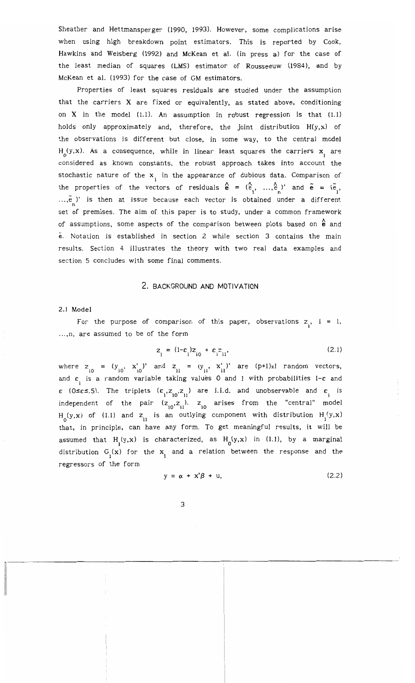Sheather and Hettmansperger (1990, 1993). However, some complications arise when using high breakdown point estimators. This is reported by Cook, Hawkins and Weisberg (1992) and McKean et al. (in press a) for the case of the least median of squares (LMS) estimator of Rousseeuw (1984), and by McKean et al. (1993) for the case of GM estimators.

Properties of least squares residuals are studied under the assumption that the carriers X are fixed or equivalently, as stated above, conditioning on  $X$  in the model (1.1). An assumption in robust regression is that (1.1) holds only approximately and, therefore, the joint distribution  $H(y,x)$  of the observations is different but close, in some way, to the central model  $H_0(y,x)$ . As a consequence, while in linear least squares the carriers  $x_{\bf j}$  are considered as known constants, the robust approach takes into account the stochastic nature of the  $x_i$  in the appearance of dubious data. Comparison of the properties of the vectors of residuals  $\hat{\mathbf{e}} = (\hat{e}_1, ..., \hat{e}_n)$ ' and  $\tilde{\mathbf{e}} = (\tilde{e}_1,$  $..., \tilde{e}$ )' is then at issue because each vector is obtained under a different set of premises. The aim of this paper is to study, under a common framework of assumptions, some aspects of the comparison between plots based on  $\stackrel{\wedge}{\mathbf{e}}$  and e. Notation is established in section 2 while section 3 contains the main results. Section 4 illustrates the theory with two real data examples and section 5 concludes with some final comments.

### 2. BACKGROUND AND MOTIYATION

#### 2.1 Model

For the purpose of comparison of this paper, observations  $z_i$ ,  $i = 1$ , ...,n, are assumed to be of the form

$$
z_{i} = (1 - \varepsilon_{i})z_{i0} + \varepsilon_{i} z_{i1}, \qquad (2.1)
$$

where  $z_{i0} = (y_{i0}, x'_{i0})'$  and  $z_{i1} = (y_{i1}, x'_{i1})'$  are  $(p+1)x1$  random vectors, and  $\varepsilon_{_{\rm i}}$  is a random variable taking values 0 and 1 with probabilities 1- $\varepsilon$  and  $\epsilon$  (0 $\leq \epsilon \leq .5$ ). The triplets  $(\epsilon_{1,2}^{}, z_{10}^{}, z_{11}^{})$  are i.i.d. and unobservable and  $\epsilon_{1,1}^{}$  is independent of the pair  $(z_{i0}, z_{i1})$ .  $z_{i0}$  arises from the "central" model  $H_0(y,x)$  of (1.1) and  $z_{11}$  is an outlying component with distribution  $H_1(y,x)$ that, in principle, can have any form. To get meaningful results, it will be assumed that H<sub>1</sub>(y,x) is characterized, as H<sub>0</sub>(y,x) in (1.1), by a marginal distribution  $G_i(x)$  for the  $x_i$  and a relation between the response and the regressors of the form

$$
y = \alpha + x'\beta + u,\tag{2.2}
$$

-----------------------------'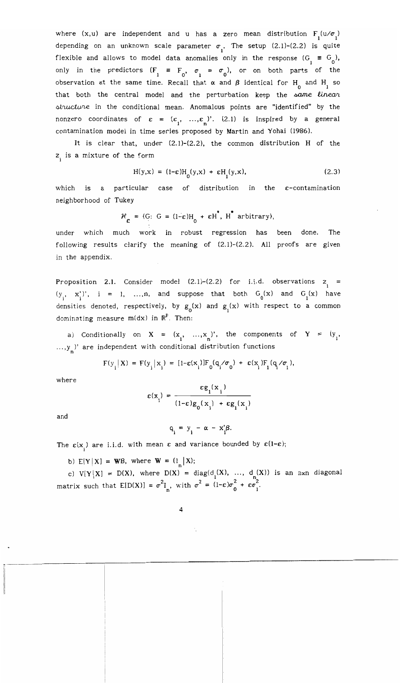where  $(x, u)$  are independent and u has a zero mean distribution  $F_1(u/\sigma_1)$ depending on an unknown scale parameter  $\sigma_i$ . The setup (2.1)-(2.2) is quite flexible and allows to model data anomalies only in the response  $(G_i \equiv G_0)$ , only in the predictors  $(F_1 \equiv F_2, \sigma_1 \equiv \sigma_2)$ , or on both parts of the el data anomalies o:<br>  $\frac{1}{1} = F_0$ ,  $\sigma_1 = \sigma_0$ <br>
and Becall that  $\alpha$  and observation at the same time. Recall that  $\alpha$  and  $\beta$  identical for  $H_{0}^-$  and  $H_{1}^-$  so that both the central model and the perturbation keep the same linear structure in the conditional mean. Anomalous points are "identified" by the nonzero coordinates of  $\varepsilon = (\varepsilon_1, ..., \varepsilon_n)$ '. (2.1) is inspired by a general contamination model in time series proposed by Martin and Yohai (1986).

It is clear that, under (2.1)-(2.2), the common distribution H of the z<sub>i</sub> is a mixture of the form

$$
H(y,x) = (1-\epsilon)H_0(y,x) + \epsilon H_1(y,x), \qquad (2.3)
$$

which is a particular case of distribution in the  $\varepsilon$ -contamination neighborhood of Tukey

$$
\mathcal{H}_{\varepsilon} = \{G: G = (1-\varepsilon)H_0 + \varepsilon H^*, H^* \text{ arbitrary}\},\
$$

under which much work in robust regression has been done. The following results clarify the meaning of  $(2.1)-(2.2)$ . All proofs are given in the appendix.

Proposition 2.1. Consider model  $(2.1)$ – $(2.2)$  for i.i.d. observations  $z_{i}$  =  $(y_1, x_1')$ ,  $i = 1, ..., n$ , and suppose that both  $G_0(x)$  and  $G_1(x)$  have densities denoted, respectively, by  $g_{0}^{}(\text{x})$  and  $g_{1}^{}(\text{x})$  with respect to a common dominating measure  $m(dx)$  in  $\mathbb{R}^P$ . Then:

a) Conditionally on  $X = (x_1, ..., x_n)$ , the components of  $Y = (y_1, ...)$ ...,y<sub>\_</sub>)' are independent with conditional distribution functions

$$
F(y_i | X) = F(y_i | x_i) = [1 - \varepsilon(x_i)] F_0(q_i / \sigma_0) + \varepsilon(x_i) F_1(q_i / \sigma_1),
$$

where

$$
\varepsilon(\mathbf{x}_{i}) = \frac{\varepsilon \mathbf{g}_{i}(\mathbf{x}_{i})}{(1-\varepsilon)\mathbf{g}_{0}(\mathbf{x}_{i}) + \varepsilon \mathbf{g}_{i}(\mathbf{x}_{i})}
$$

and

$$
q_i = y_i - \alpha - x_i' \beta.
$$

The  $\varepsilon(x_i)$  are i.i.d. with mean  $\varepsilon$  and variance bounded by  $\varepsilon(1-\varepsilon);$ 

b)  $E[Y | X] = WB$ , where  $W = \begin{pmatrix} 1 \\ n \end{pmatrix}X$ ;

------- .\_---------------

c)  $V[Y | X] = D(X)$ , where  $D(X) = diag(d_1(X), ..., d_n(X))$  is an nxn diagonal matrix such that  $E[D(X)] = \sigma^2 I_n$ , with  $\sigma^2 = (1-\epsilon)\sigma_0^2 + \epsilon \sigma_1^2$ .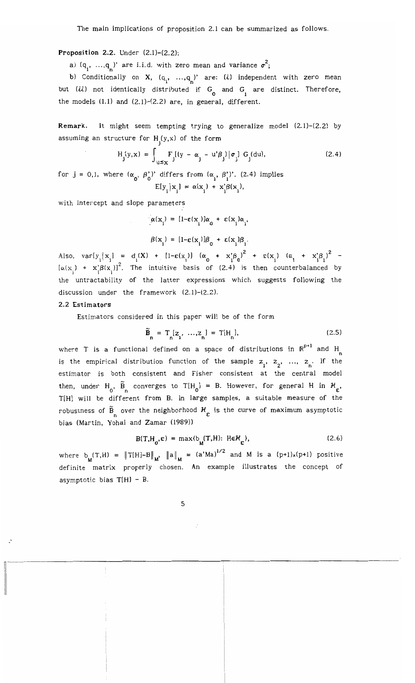The main implications of proposition 2.1 can be summarized as follows.

## **Proposition 2.2.** Under  $(2.1)-(2.2)$ :

a)  $(q_1, ..., q_n)$ ' are i.i.d. with zero mean and variance  $\sigma^2$ ;

b) Conditionally on **X**,  $(q_1, ..., q_n)$  are: (i) independent with zero mean but (ii) not identically distributed if  $G_{\overline{0}}$  and  $G_{\overline{1}}$  are distinct. Therefore, the models  $(1.1)$  and  $(2.1)-(2.2)$  are, in general, different.

Remark. It might seem tempting trying to generalize model (2.1)-(2.2) by assuming an structure for  $H_j(y,x)$  of the form

$$
H_j(y,x) = \int_{u \le x} F_j[(y - \alpha_j - u'\beta_j) | \sigma_j] G_j(du),
$$
 (2.4)

for  $j = 0,1$ , where  $(\alpha_0, \beta_0')'$  differs from  $(\alpha_1, \beta_1')'$ . (2.4) implies  $E[y_i | x_i] = \alpha(x_i) + x_i^{\prime} \beta(x_i),$ 

with intercept and slope parameters

 $\alpha(x_i) = [1-\varepsilon(x_i)]\alpha_0 + \varepsilon(x_i)\alpha_1,$ 

$$
\beta(\mathbf{x}_i) = [1-\varepsilon(\mathbf{x}_i)]\beta_0 + \varepsilon(\mathbf{x}_i)\beta_1.
$$

Also,  $var[y_i | x_i] = d_i(X) + [1-\epsilon(x_i)] (a_0 + x'_i \beta_0)^2 + \epsilon(x_i) (a_1 + x'_i \beta_1)^2$  $[\alpha(x)] + x'\beta(x)]^2$ . The intuitive basis of (2.4) is then counterbalanced by the untractability of the latter expressions which suggests following the discussion under the framework  $(2.1)$ - $(2.2)$ .

#### 2.2 Estimators

Estimators considered in this paper will be of the form

$$
\widetilde{\mathbf{B}}_n = \mathbf{T}_n \left[ \mathbf{z}_1, \dots, \mathbf{z}_n \right] = \mathbf{T} \left[ \mathbf{H}_n \right],\tag{2.5}
$$

where T is a functional defined on a space of distributions in  $\mathbb{R}^{P+1}$  and H is the empirical distribution function of the sample  $z_1$ ,  $z_2$ , ...,  $z_n$ . If the estimator is both consistent and Fisher consistent at the central model then, under H<sub>0</sub>,  $\tilde{B}_{n}$  converges to T[H<sub>0</sub>] = B. However, for general H in  $\mathcal{H}_{\epsilon}$ , T[H] will be different from B. In large samples, a suitable measure of the robustness of  $\widetilde{B}_n$  over the neighborhood  $\mathcal{H}_{\varepsilon}$  is the curve of maximum asymptotic bias (Martin, Yohai and Zamar (1989))

$$
B(T, H_0, \varepsilon) = \max\{b_M(T, H): H \in \mathcal{H}_{\varepsilon}\},\tag{2.6}
$$

where  $b_M(T,H) = \|T[H]-B\|_M$ ,  $\|a\|_M = (a'Ma)^{1/2}$  and M is a (p+1)x(p+1) positive definite matrix properly chosen. An example illustrates the concept of asymptotic bias  $T[H]$  - B.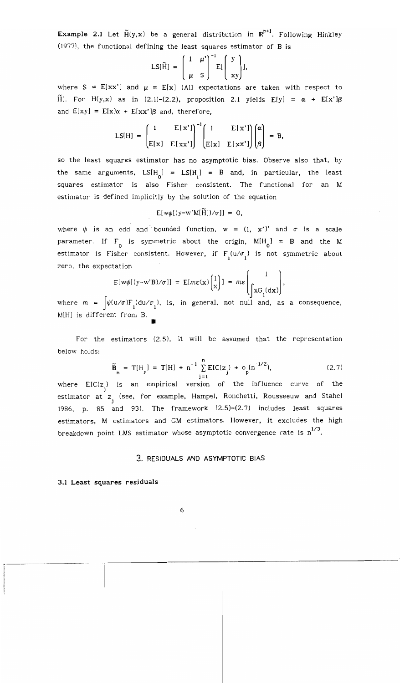**Example 2.1** Let  $\widetilde{H}(y,x)$  be a general distribution in  $\mathbb{R}^{p+1}$ . Following Hinkley (977), the functional defining the least squares estimator of B is

$$
LS[\widetilde{H}] = \begin{pmatrix} 1 & \mu' \\ \mu & S \end{pmatrix}^{-1} E[\begin{pmatrix} y \\ xy \end{pmatrix}],
$$

where  $S = E[xx']$  and  $\mu = E[x]$  (All expectations are taken with respect to  $\widetilde{H}$ ). For H(y,x) as in (2.1)-(2.2), proposition 2.1 yields E[y] =  $\alpha$  + E[x'] $\beta$ and  $E[xy] = E[x]\alpha + E[xx']\beta$  and, therefore,

$$
LS[H] = \begin{pmatrix} 1 & E[x'] \\ E[x] & E[xx'] \end{pmatrix}^{-1} \begin{pmatrix} 1 & E[x'] \\ E[x] & E[xx'] \end{pmatrix} \begin{pmatrix} \alpha \\ \beta \end{pmatrix} = B,
$$

so the least squares estimator has no asymptotic bias. Observe also that, by the same arguments,  $LS[H_0] = LS[H_1] = B$  and, in particular, the least squares estimator is also Fisher consistent. The functional for an M estimator is defined implicitly by the solution of the equation

$$
E[w\psi[(y-w'M[\tilde{H}])/\sigma]] = 0,
$$

where  $\psi$  is an odd and bounded function,  $w = (1, x')'$  and  $\sigma$  is a scale parameter. If  $F_{0}$  is symmetric about the origin,  $M[H_{0}] = B$  and the M estimator is Fisher consistent. However, if  $F_1(u/\sigma_1)$  is not symmetric about zero, the expectation

$$
E[w\psi[(y-w'B)/\sigma]] = E[m\varepsilon(x)\begin{pmatrix} 1\\x \end{pmatrix}] = m\varepsilon \begin{pmatrix} 1\\xG_1(dx) \end{pmatrix},
$$

where  $m$  =  $\int\!\psi(\textbf{u}/\sigma)\text{F}_1(\textbf{du}/\sigma_1)$ , is, in general, not null and, as a consequence, M[H] is different from B. •

For the estimators (2.5), it will be assumed that the representation below holds:

$$
\widetilde{\mathbf{B}}_n = \mathbf{T}[H_n] = \mathbf{T}[H] + n^{-1} \sum_{j=1}^n \text{EIC}(z_j) + o_p(n^{-1/2}), \qquad (2.7)
$$

where  $\text{EIC(z}_j)$  is an empirical version of the influence curve of the estimator at z<sub>j</sub> (see, for example, Hampel, Ronchetti, Rousseeuw and Stahel 1986, p. 85 and 93). The framework (2.5)-(2.7) includes least squares estimators, M estimators and GM estimators. However, it excludes the high breakdown point LMS estimator whose asymptotic convergence rate is  $n^{1/3}$ .

# 3. RESIDUALS AND ASYMPTOTIC BIAS

#### 3.1 Least squares residuals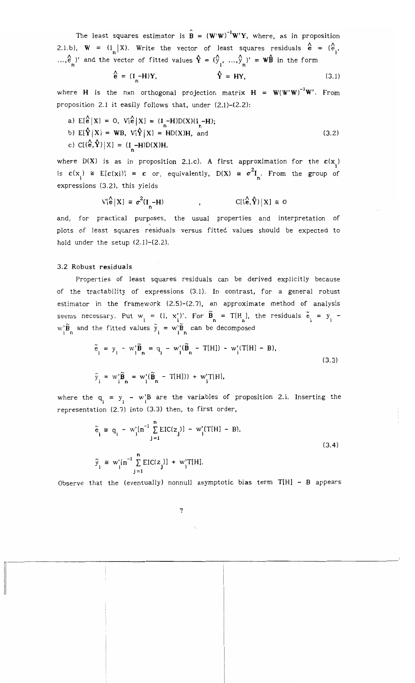The least squares estimator is  $\mathbf{\hat{B}} = (\mathbf{W}'\mathbf{W})^{-1}\mathbf{W}'\mathbf{Y}$ , where, as in proposition 2.1.b),  $W = \begin{pmatrix} 1 \\ n \end{pmatrix}$  (X). Write the vector of least squares residuals  $\hat{e} = \begin{pmatrix} 1 \\ e_1 \end{pmatrix}$ ..., $\hat{e}_n'$ )' and the vector of fitted values  $\hat{Y} = (\hat{y}_1, ..., \hat{y}_n')' = W\hat{B}$  in the form

$$
\hat{\mathbf{e}} = (\mathbf{I} - \mathbf{H})\mathbf{Y}, \qquad \hat{\mathbf{Y}} = \mathbf{H}\mathbf{Y}, \qquad (3.1)
$$

where **H** is the nxn orthogonal projection matrix  $H = W(W'W)^{-1}W'$ . From proposition 2.1 it easily follows that, under (2.1)-(2.2):

a) 
$$
E[\hat{e}|X] = 0
$$
,  $V[\hat{e}|X] = (I - H)D(X)(I - H)$ ;\nb)  $E[\hat{Y}|X] = WB$ ,  $V[\hat{Y}|X] = HD(X)H$ , and\nc)  $C[(\hat{e}, \hat{Y})|X] = (I - H)D(X)H$ . (3.2)

where  $D(X)$  is as in proposition 2.1.c). A first approximation for the  $\varepsilon(x_i)$ is  $\varepsilon(x_i) \cong E[\varepsilon(x_i)] = \varepsilon$  or, equivalently,  $D(X) \cong \sigma^2 I_n$ . From the group of expressions (3.2), this yields

$$
V[\hat{e} | X] \cong \sigma^2(I_n - H) \qquad , \qquad C[(\hat{e}, \hat{Y}) | X] \cong 0
$$

and, for practical purposes, the usual properties and interpretation of plots of least squares residuals versus fitted values should be expected to hold under the setup (2.1)-(2.2).

## 3.2 Robust residuals

11----------

Properties of least squares residuals can be derived explicitly because of the tractability of expressions (3.1). In contrast, for a general robust estimator in the framework (2.5)-(2.7), an approximate method of analysis seems necessary. Put  $w_i = (1, x'_i)$ . For  $\tilde{B}_n = T[H_n]$ , the residuals  $\tilde{e}_i = y_i$ 3.2 Robust residuals<br>
Properties of least squares residuals can be de<br>
of the tractability of expressions (3.1). In contrast,<br>
estimator in the framework (2.5)-(2.7), an approxim<br>
seems necessary. Put  $w_i = (1, x_i)$ . For  $\til$  $w_i' \tilde{B}_n$  and the fitted values  $\tilde{y}_i = w_i' \tilde{B}_n$  can be decomposed

$$
\tilde{e}_i = y_i - w_i' \tilde{B}_n = q_i - w_i' (\tilde{B}_n - T[H]) - w_i' (T[H] - B),
$$
  
\n
$$
\tilde{y}_i = w_i' \tilde{B}_n = w_i' (\tilde{B}_n - T[H])) + w_i' T[H],
$$
\n(3.3)

where the  $q_i = y_i - w_i^*B$  are the variables of proposition 2.1. Inserting the representation (2.7) into (3.3) then, to first order,

$$
\tilde{e}_{i} \cong q_{i} - w_{i}^{*}[n^{-1} \sum_{j=1}^{n} EIC(z_{j})] - w_{i}^{*}(T[H] - B),
$$
\n
$$
\tilde{y}_{i} \cong w_{i}^{*}[n^{-1} \sum_{j=1}^{n} EIC(z_{j})] + w_{i}^{*}T[H].
$$
\n(3.4)

Observe that the (eventually) nonnull asymptotic bias term T[H] - B appears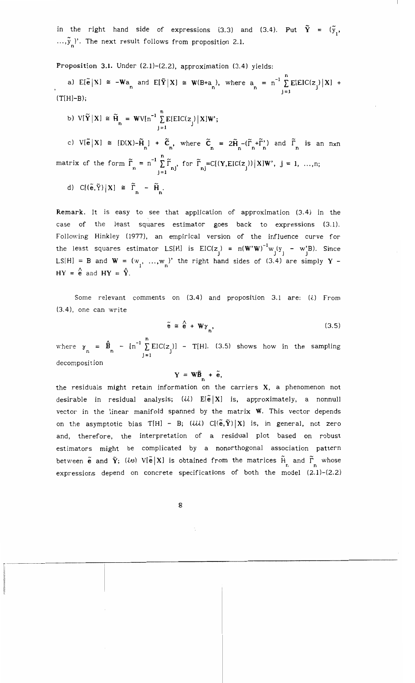in the right hand side of expressions (3.3) and (3.4). Put  $\tilde{Y} = (\tilde{y}_1, y_2, \ldots, y_n)$  $..., \tilde{y}_{n}$ )'. The next result follows from proposition 2.1.

Proposition 3.1. Under  $(2.1)$ - $(2.2)$ , approximation  $(3.4)$  yields:

a)  $E[\tilde{e}|X] \cong -Wa_n$  and  $E[\tilde{Y}|X] \cong W(B+a_n)$ , where  $a_n = n^{-1} \sum_{j=1}^n E[EIC(z_j)|X] +$  $(T[H]-B);$ 

b)  $V[\tilde{Y}|X] \cong \tilde{H} = WV[n^{-1} \sum_{i=1}^{n} E[EIC(z_i)|X]W';$  $\frac{1}{1}$  J  $\frac{1}{1}$ 

c)  $V[\tilde{e}|X] \cong [D(X)-\tilde{H}_n] + \tilde{C}_n$ , where  $\tilde{C}_n = 2\tilde{H}_n-(\tilde{\Gamma}_n+\tilde{\Gamma}_n)$  and  $\tilde{\Gamma}_n$  is an nxn matrix of the form  $\tilde{\Gamma}_n = n^{-1} \sum_{i=1}^n \tilde{\Gamma}_{nj}$ , for  $\tilde{\Gamma}_{nj} = C[(Y, EIC(z_j))] \times W'$ ,  $j = 1, ..., n;$ d)  $C[(\tilde{e}, \tilde{Y})|X] \cong \tilde{\Gamma}_n - \tilde{H}_n$ .

Remark. It is easy to see that application of approximation (3.4) in the case of the least squares estimator goes back to expressions (3.1). Following Hinkley (1977), an empirical version of the influence curve for the least squares estimator LS[H] is  $\text{EIC(z}_j) = n(W'W)^{-1} w_j(y_j - w_j'B)$ . Since  $LS[H] = B$  and  $W = (w_1, ..., w_n)'$  the right hand sides of (3.4) are simply Y  $HY = \frac{\lambda}{e}$  and  $HY = \hat{Y}$ .

Some relevant comments on  $(3.4)$  and proposition 3.1 are:  $(i)$  From (3.4), one can write

$$
\tilde{e} \cong \stackrel{\wedge}{e} + W_{\gamma_n}, \tag{3.5}
$$

where  $\gamma_n = \hat{B}_n - [n^{-1} \sum_{j=1}^n EIC(z_j)] - T[H]$ . (3.5) shows how in the sampling decomposition

# $Y = W\tilde{B}_{n} + \tilde{e},$

the residuals might retain information on the carriers X, a phenomenon not desirable in residual analysis;  $(ii)$   $E[\tilde{e}|X]$  is, approximately, a nonnull vector in the linear manifold spanned by the matrix W. This vector depends on the asymptotic bias T[H] - B; (iii) C[( $\tilde{e}, \tilde{Y}$ )|X] is, in general, not zero and, therefore, the interpretation of a residual plot based on robust estimators might be complicated by a nonorthogonal association pattern between  $\tilde{e}$  and  $\tilde{Y}$ ; (iv)  $V[\tilde{e}|X]$  is obtained from the matrices  $\tilde{H}$  and  $\tilde{\Gamma}$  whose expressions depend on concrete specifications of both the model (2.1)-(2.2)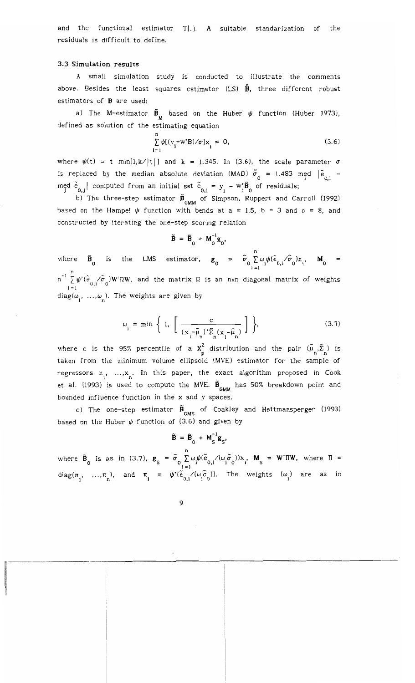and the functional estimator T[.]. A suitable standarization of the residuals is difficult to define.

#### 3.3 Simulation results

A small simulation study is conducted to illustrate the comments above. Besides the least squares estimator (LS)  $\hat{\mathbf{B}}$ , three different robust estimators of B are used:

a) The M-estimator  $\tilde{B}_{\mu}$  based on the Huber  $\psi$  function (Huber 1973), defined as solution of the estimating equation

$$
\sum_{i=1}^{n} \psi[(y_i - w'B)/\sigma]x_i = 0,
$$
\n(3.6)

where  $\psi(t) = t \min[1, k/|t|]$  and  $k = 1.345$ . In (3.6), the scale parameter  $\sigma$ is replaced by the median absolute deviation (MAD)  $\tilde{\sigma}_0 = 1.483$  med  $|\tilde{e}_{0,i}|$  $m_{\tilde{j}}^{\text{ed}}$   $\tilde{e}_{0,j}$  computed from an initial set  $\tilde{e}_{0,i} = y_i - w_i^* \tilde{B}_0$  of residuals;

b) The three-step estimator  $\tilde{B}_{GMM}$  of Simpson, Ruppert and Carroll (1992) based on the Hampel  $\psi$  function with bends at a = 1.5, b = 3 and c = 8, and constructed by iterating the one-step scoring relation

$$
\widetilde{\mathbf{B}} = \widetilde{\mathbf{B}}_0 + \mathbf{M}_0^{-1} \mathbf{g}_0,
$$

where  $\tilde{B}_{0}$  is the LMS estimator,  $g_{0} = \tilde{\sigma}_{0} \sum_{i=1}^{n} \omega_{i} \psi(\tilde{e}_{0,i} / \tilde{\sigma}_{0}) x_{i}$ ,  $M_{0} =$ i =1 n  $\ln^{-1} \sum \psi'(\stackrel{\sim}{\rm e}_{0,1}/\stackrel{\sim}{\rm o}_0)W'\Omega W$ , and the matrix  $\Omega$  is an nxn diagonal matrix of weights  $i = 1$  $diag(\omega_1, ..., \omega_n)$ . The weights are given by

$$
\omega_{i} = \min \left\{ 1, \left[ \frac{c}{(x_{i} - \tilde{\mu}_{n})' \tilde{\Sigma}_{n} (x_{i} - \tilde{\mu}_{n})} \right] \right\},
$$
\n(3.7)

where c is the 95% percentile of a  $X_p^2$  distribution and the pair  $(\tilde{\mu}_n, \tilde{\Sigma}_n)$  is taken from the minimum volume ellipsoid (MVE) estimator for the sample of regressors  $x_1, ..., x_n$ . In this paper, the exact algorithm proposed in Cook et al. (1993) is used to compute the MVE.  $\tilde{\textbf{B}}_{\text{GMM}}$  has 50% breakdown point and bounded influence function in the x and y spaces.

c) The one–step estimator  $\ddot{\textbf{B}}_{\text{GMS}}$  of Coakley and Hettmansperger (1993) based on the Huber  $\psi$  function of (3.6) and given by

$$
\widetilde{\mathbf{B}} = \widetilde{\mathbf{B}}_0 + \mathbf{M}_S^{-1} \mathbf{g}_S,
$$

where  $\tilde{B}_{0}$  is as in (3.7),  $g_{S} = \tilde{\sigma}_{0} \sum_{i=1}^{n} \omega_{i} \psi(\tilde{e}_{0,i} / (\omega_{i} \tilde{\sigma}_{0})) x_{i}$ ,  $M_{S} = W' \Pi W$ , where  $\Pi =$ 1=1 diag( $\pi_1$ , ..., $\pi_n$ ), and  $\pi_i = \psi'(\tilde{e}_{0,i} / (\omega_i \tilde{e}_0))$ . The weights  $(\omega_i)$  are as in

---\_..\_-. ------------------------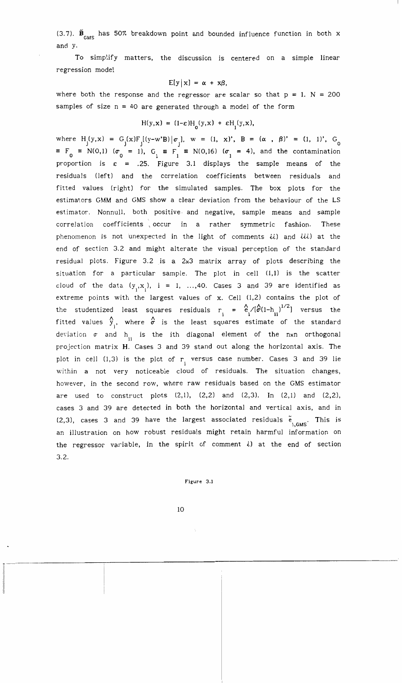(3.7).  $\tilde{B}_{_{\rm GMS}}$  has 50% breakdown point and bounded influence function in both x and y.

To simplify matters, the discussion is centered on a simple linear regression model

$$
E[y|x] = \alpha + x\beta,
$$

where both the response and the regressor are scalar so that  $p = 1$ . N = 200 samples of size  $n = 40$  are generated through a model of the form

$$
H(y,x) = (1-\epsilon)H_0(y,x) + \epsilon H_1(y,x),
$$

where  $H_j(y,x) = G_j(x)F_j[(y-w'B)|\sigma_j], w = (1, x)$ ,  $B = (\alpha, \beta)' = (1, 1)$ ,  $G_0$  $\equiv$   $F_0$   $\equiv$  N(0,1) ( $\sigma_0$  = 1), G<sub>1</sub>  $\equiv$  F<sub>1</sub>  $\equiv$  N(0,16) ( $\sigma_1$  = 4), and the contamination proportion is  $\varepsilon = .25$ . Figure 3.1 displays the sample means of the residuals (left) and the correlation coefficients between residuals and fitted values (right) for the simulated samples. The box plots for the estimators GMM and GMS show a clear deviation from the behaviour of the LS estimator. Nonnull, both positive· and negative, sample means and sample correlation coefficients occur in a rather symmetric fashion. These phenomenon is not unexpected in the light of comments  $ii$ ) and  $iii$ ) at the end of section 3.2 and might alterate the visual perception of the standard residual plots. Figure 3.2 is a 2x3 matrix array of plots describing the situation for a particular sample. The plot in cell  $(1,1)$  is the scatter cloud of the data  $(y_i, x_i)$ , i = 1, ...,40. Cases 3 and 39 are identified as extreme points with the largest values of  $x$ . Cell  $(1,2)$  contains the plot of the studentized least squares residuals  $r_i = \frac{\hat{C}}{I} \sqrt{(\hat{\sigma}(1-h_{ii})^{1/2}})$  versus the fitted values  $\hat{y}_i$ , where  $\hat{\sigma}$  is the least squares estimate of the standard deviation  $\sigma$  and h<sub>11</sub> is the ith diagonal element of the nxn orthogonal projection matrix H. Cases 3 and 39 stand out along the horizontal axis. The plot in cell  $(1,3)$  is the plot of r. versus case number. Cases 3 and 39 lie within a not very noticeable cloud of residuals. The situation changes, however, in the second row, where raw residuals based on the GMS estimator are used to construct plots  $(2,1)$ ,  $(2,2)$  and  $(2,3)$ . In  $(2,1)$  and  $(2,2)$ , cases 3 and 39 are detected in both the horizontal and vertical axis, and in  $(2,3)$ , cases 3 and 39 have the largest associated residuals  $\tilde{e}$ , This is an illustration on how robust residuals might retain harmful information on the regressor variable, in the spirit of comment  $i$ ) at the end of section 3.2.

Figure 3.1

10

------- ---------:-------------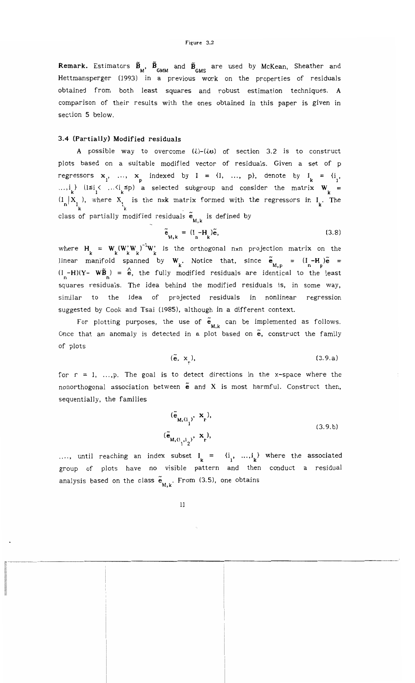**Remark.** Estimators  $\tilde{B}_{M}$ ,  $\tilde{B}_{GMM}$  and  $\tilde{B}_{GMS}$  are used by McKean, Sheather and Hettmansperger (993) in a previous work on the properties of residuals obtained from both least squares and robust estimation techniques. A comparison of their results with the ones obtained in this paper is given in section 5 below.

#### 3.4 (Partially) Modified residuals

A possible way to overcome  $(i)-(iv)$  of section 3.2 is to construct plots based on a suitable modified vector of residuals. Given a set of p regressors  $x_1$ , ...,  $x_p$  indexed by  $I = \{1, ..., p\}$ , denote by  $I_k = \{i_1, ..., k_m\}$ ..., $i_k$  ( $1 \le i_j < ... \le i_k \le p$ ) a selected subgroup and consider the matrix  $W_k =$  $\binom{1}{n}$   $X_{I_k}$ , where  $X_{I_k}$  is the nxk matrix formed with the regressors in  $I_k$ . The class of partially modified residuals  $\tilde{\mathbf{e}}_{\mathbf{M},\mathbf{k}}$  is defined by

$$
\tilde{\mathbf{e}}_{M,k} = (\mathbf{I}_n - \mathbf{H}_k)\tilde{\mathbf{e}},\tag{3.8}
$$

where  $H_k = W_k (W_k' W_k)^{-1} W_k'$  is the orthogonal nxn projection matrix on the linear manifold spanned by  $W_k$ . Notice that, since  $\tilde{e}_{M,p} = (I - H) \tilde{e} =$  $(I_n - H)(Y - W\tilde{B}_n) = \hat{e}$ , the fully modified residuals are identical to the least squares residuals. The idea behind the modified residuals is, in some way, similar to the idea of projected residuals in nonlinear regression suggested by Cook and Tsai (1985), although in a different context.

For plotting purposes, the use of  $\tilde{\mathbf{e}}_{\mathsf{M},\mathsf{k}}$  can be implemented as follows. Once that an anomaly is detected in a plot based on  $\tilde{e}$ , construct the family of plots

$$
(\tilde{\mathbf{e}}, \mathbf{x}_r), \tag{3.9.a}
$$

for  $r = 1, \ldots, p$ . The goal is to detect directions in the x-space where the nonorthogonal association between  $\tilde{e}$  and X is most harmful. Construct then, sequentially, the families

$$
(\tilde{\mathbf{e}}_{\mathbf{M},\mathbf{G}_1}, \mathbf{x}_r),
$$
  
\n
$$
(\tilde{\mathbf{e}}_{\mathbf{M},\mathbf{G}_1,\mathbf{I}_2}, \mathbf{x}_r),
$$
\n(3.9.b)

..., until reaching an index subset  $I_k = \{i_1, ..., i_k\}$  where the associated group of plots have no visible pattern and then conduct a residual analysis based on the class  $\widetilde{\mathbf{e}}_{_{\mathbf{M},\mathbf{k}}}$ . From (3.5), one obtains

11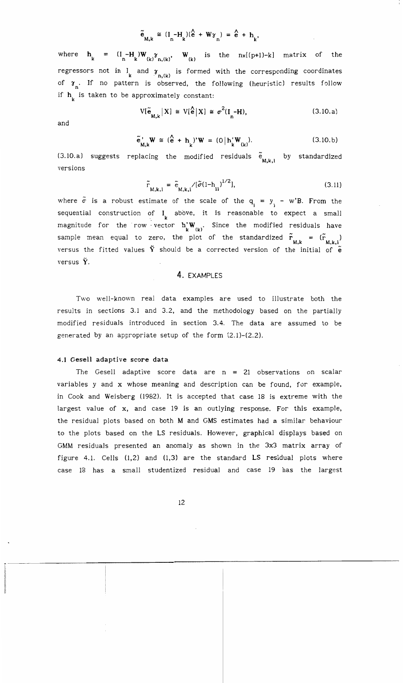$$
\tilde{e}_{M,k} \cong (I_n - H_k)(\hat{e} + W_{\gamma_n}) = \hat{e} + h_k,
$$

where  $h_k = (I_n - H_k)W_{(k)}^T \gamma_{n,(k)}, W_{(k)}^T$  is the  $nx[(p+1)-k]$  matrix of the regressors not in I and  $\gamma_{n,(k)}$  is formed with the corresponding coordinates of  $\gamma_n$ . If no pattern is observed, the following (heuristic) results follow if  $h_{k}$  is taken to be approximately constant:

$$
V[\tilde{\mathbf{e}}_{\mathbf{M},k} | X] \cong V[\mathbf{\hat{e}} | X] \cong \sigma^2(\mathbf{I}_n - \mathbf{H}), \tag{3.10.a}
$$

and

$$
\widetilde{\mathbf{e}}_{\mathbf{M},k}^{\prime} \mathbf{W} \cong (\mathbf{\hat{e}} + \mathbf{h}_{k})^{\prime} \mathbf{W} = (\mathbf{0} | \mathbf{h}_{k}^{\prime} \mathbf{W}_{(k)}).
$$
 (3.10.b)

 $\begin{array}{ccccccccc} \text{M},\text{k} & & & \text{k} & & \text{(k)}\ \text{(3.10.a)} & \text{suggests} & \text{replacing} & \text{the} & \text{modified} & \text{residuals} & \frac{\text{e}}{\text{M},\text{k},\text{l}} & \text{by} & \text{standardized} \end{array}$ versions

$$
\tilde{r}_{M,k,i} = \tilde{e}_{M,k,i} / [\tilde{\sigma} (1 - h_{ii})^{1/2}],
$$
\n(3.11)

where  $\tilde{\sigma}$  is a robust estimate of the scale of the  $\mathbf{q_i}$  =  $\mathbf{y_j}$  – w'B. From the sequential construction of  $I_k$  above, it is reasonable to expect a small magnitude for the row vector  $h'_{k}(W)$ . Since the modified residuals have sample mean equal to zero, the plot of the standardized  $\tilde{r}_{M,k} = (\tilde{r}_{M,k,i})$ versus the fitted values  $\tilde{Y}$  should be a corrected version of the initial of  $\tilde{e}$ versus  $\tilde{Y}$ .

# 4. EXAMPLES

Two well-known real data examples are used to illustrate both the results in sections 3.1 and 3.2, and the methodology based on the partially modified residuals introduced in section 3.4. The data are assumed to be generated by an appropriate setup of the form (2.1)-(2.2).

#### 4.1 Gesell adaptive score data

The Gesell adaptive score data are  $n = 21$  observations on scalar variables y and x whose meaning and description can be found, for example, in Cook and Weisberg (982). It is accepted that case 18 is extreme with the largest value of x, and case 19 is an outlying response. For this example, the residual plots based on both M and GMS estimates had a similar behaviour to the plots based on the LS residuals. However, graphical displays based on GMM residuals presented an anomaly as shown in the 3x3 matrix array of figure 4.1. Cells  $(1,2)$  and  $(1,3)$  are the standard LS residual plots where case 18 has a small studentized residual and case 19 has the largest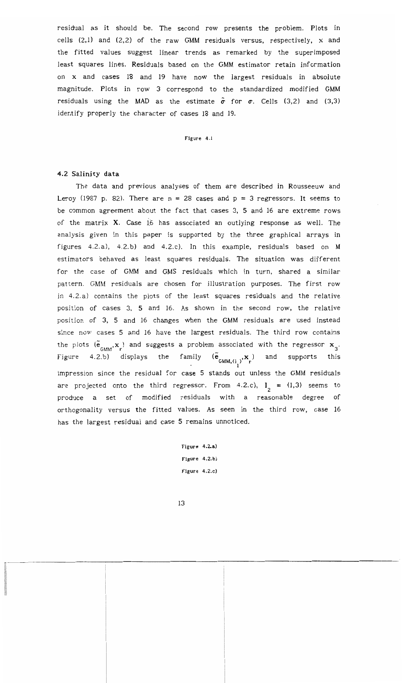residual as it should be. The second row presents the problem. Plots in cells (2,ll and (2,2) of the raw GMM residuals versus, respectively, x and the fitted values suggest linear trends as remarked by the superimposed least squares lines. Residuals based on the GMM estimator retain information on x and cases 18 and 19 have now the largest residuals in absolute magnitude. Plots in row 3 correspond to the standardized modified GMM residuals using the MAD as the estimate  $\tilde{\sigma}$  for  $\sigma$ . Cells (3,2) and (3,3) identify properly the character of cases 18 and 19.

#### Figure 4.1

## 4.2 Salinity data

The data and previous analyses of them are described in Rousseeuw and Leroy (1987 p. 82). There are  $n = 28$  cases and  $p = 3$  regressors. It seems to be common agreement about the fact that cases 3, 5 and 16 are extreme rows of the matrix  $X$ . Case 16 has associated an outlying response as well. The analysis given in this paper is supported by the three graphical arrays in figures 4.2.a), 4.2.b) and 4.2.c). In this example, residuals based on M estimators behaved as least squares residuals. The situation was different for the case of GMM and GMS residuals which in turn, shared a similar pattern. GMM residuals are chosen for illustration purposes. The first row in 4.2. a) contains the plots of the least squares residuals and the relative position of cases 3, 5 and 16. As shown in the second row, the relative position of 3, 5 and 16 changes when the GMM residuals are used instead since now cases 5 and 16 have the largest residuals. The third row contains the plots  $(\tilde{\mathbf{e}}_{_{\mathsf{GMM]}},\mathbf{x}_{_{\mathsf{P}}}})$  and suggests a problem associated with the regressor  $\mathbf{x}_{_{\mathsf{G}}}$ . Figure 4.2.b) displays the family  $(\tilde{e}_{x,y,t,x},x)$  and supports this  $\frac{GMM,(i_1)^{2}r}{1}$ impression since the residual for case 5 stands out unless the GMM residuals are projected onto the third regressor. From 4.2.c),  $I_2 = \{1,3\}$  seems to produce a set of modified residuals with a reasonable degree of orthogonality versus the fitted values. As seen in the third row, case 16 has the largest residual and case 5 remains unnoticed.

> Figure 4.2.a) Figure 4.2.b) Figure 4.2.c)

13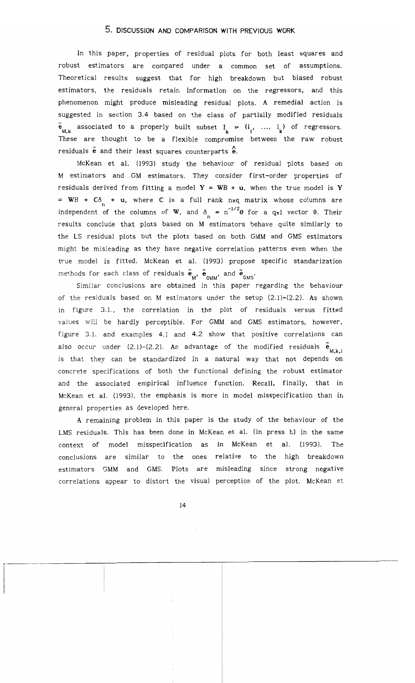# 5. DISCUSSION AND COMPARISON WITH PREVIOUS WORK

In this paper, properties of residual plots for both least squares and robust estimators are compared under a common set of assumptions. Theoretical results suggest that for high breakdown but biased robust estimators, the residuals retain information on the regressors, and this phenomenon might produce misleading residual plots. A remedial action is suggested in section 3.4 based on the class of partially modified residuals  $\tilde{e}_{M,k}$  associated to a properly built subset  $I_k = \{i_1, ..., i_k\}$  of regressors. These are thought to be a flexible compromise between the raw robust residuals  $\tilde{e}$  and their least squares counterparts  $\hat{e}$ .

McKean et al. (1993) study the behaviour of residual plots based on M estimators and GM estimators. They consider first-order properties of residuals derived from fitting a model  $Y = WB + u$ , when the true model is Y = WB +  $C\delta$  + u, where C is a full rank nxq matrix whose columns are independent of the columns of **W**, and  $\delta_n = n^{-1/2}\theta$  for a qxl vector  $\theta$ . Their results conclude that plots based on M estimators behave quite similarly to the LS residual plots but the plots based on both GMM and GMS estimators might be misleading as they have negative correlation patterns even when the true model is fitted. McKean et al. (1993) propose specific standarization methods for each class of residuals  $\widetilde{\mathbf{e}}_{_{\mathbf{M}}},$   $\widetilde{\mathbf{e}}_{_{\mathbf{GMM}}},$  and  $\widetilde{\mathbf{e}}_{_{\mathbf{GMS}}}.$ 

Similar conclusions are obtained in this paper regarding the behaviour of the residuals based on M estimators under the setup (2.1)-(2.2). As shown in figure 3.1., the correlation in the plot of residuals versus fitted vaJues will be hardly perceptible. For GMM and GMS estimators, however. figure 3.1. and examples 4.1 and 4.2 show that positive correlations can also occur under (2.1)–(2.2). An advantage of the modified residuals  $\tilde{\textbf{e}}_{_{\text{M},\textbf{k},\textbf{i}}}$ is that they can be standardized in a natural way that not depends on concrete specifications of both the functional defining the robust estimator and the associated empirical influence function. Recall, finally, that in McKean et al. (1993), the emphasis is more in model misspecification than in general properties as developed here.

A remaining problem in this paper is the study of the behaviour of the LMS residuals. This has been done in McKean et al. (in press b) in the same context of model misspecification as in McKean et al. (1993). The conclusions are similar to the ones relative to the high breakdown estimators GMM and GMS. Plots are misleading since strong negative correlations appear to distort the visual perception of the plot. McKean et

14

..\_---\_.\_-------------;---------------\_.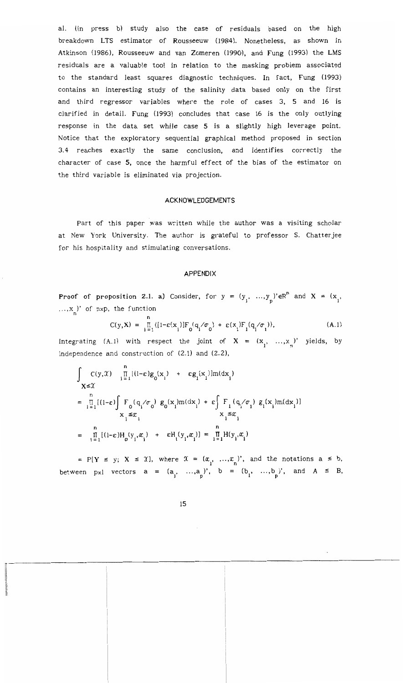al. (in press b) study also the case of residuals based on the high breakdown LTS estimator of Rousseeuw (1984). Nonetheless, as shown in Atkinson (1986), Rousseeuw and van Zomeren (1990), and Fung (1993) the LMS residuals are a valuable tool in relation to the masking problem associated to the standard least squares diagnostic techniques. In fact, Fung (1993) contains an interesting study of the salinity data based only on the first and third regressor variables where the role of cases 3, 5 and 16 is clarified in detail. Fung (993) concludes that case 16 is the only outlying response in the data set while case 5 is a slightly high leverage point. Notice that the exploratory sequential graphical method proposed in section 3.4 reaches exactly the same conclusion, and identifies correctly the character of case 5. once the harmful effect of the bias of the estimator on the third variable is eliminated via projection.

#### ACKNOWLEDGEMENTS

Part of this paper was written while the author was a visiting scholar at New York University. The author is grateful to professor S. Chatterjee for his hospitality and stimulating conversations.

#### APPENDIX

Proof of proposition 2.1. a) Consider, for  $y = (y_1, ..., y_p) \in \mathbb{R}^n$  and  $X = (x_1, ...)$  $..., x_n$ )' of nxp, the function

$$
C(y, X) = \prod_{i=1}^{n} \{ [1 - \varepsilon(x_i)] F_0(q_i / \sigma_0) + \varepsilon(x_i) F_1(q_i / \sigma_1) \},
$$
 (A.1)

Integrating (A.1) with respect the joint of  $X = (x_1, ..., x_n)'$  yields, by independence and construction of (2.1) and (2.2),

endence and construction of (2.1) and (2.2),  
\n
$$
\int_{X \leq \mathcal{X}} C(y, \mathcal{X}) \prod_{i=1}^{n} [(1-\epsilon)g_0(x_i) + \epsilon g_i(x_i)]m(dx_i)
$$
\n
$$
= \prod_{i=1}^{n} [(1-\epsilon) \int_{X_i} F_0(q_i/\sigma_0) g_0(x_i)m(dx_i) + \epsilon \int_{X_i} F_1(q_i/\sigma_1) g_1(x_i)m(dx_i)]
$$
\n
$$
= \prod_{i=1}^{n} [(1-\epsilon)H_0(y_i, x_i) + \epsilon H_1(y_i, x_i)] = \prod_{i=1}^{n} H(y_i, x_i)
$$

= P[Y  $\le$  y; X  $\le$  X], where  $\mathcal{X} = (\alpha_1, \ldots, \alpha_n)'$ , and the notations a  $\le$  b, between pxl vectors  $a = (a_1, ..., a_p)$ ,  $b = (b_1, ..., b_p)$ , and  $A \leq B$ ,

n'---------------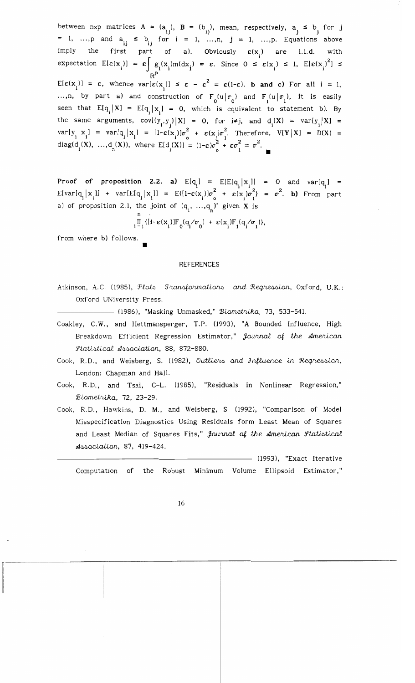between nxp matrices  $A = (a_{11}), B = (b_{11}),$  mean, respectively,  $a_{j} \leq b_{j}$  for j = 1, ...,p and  $a_{ij} \leq b_{ij}$  for  $i = 1, ..., n$ ,  $j = 1, ..., p$ . Equations above imply the first part of a). Obviously  $\varepsilon(x_i)$  are i.i.d. with expectation  $E[\epsilon(x_i)] = \epsilon \int g_i(x_i) m(dx_i) = \epsilon$ . Since  $0 \leq \epsilon(x_i) \leq 1$ ,  $E[\epsilon(x_i)^2] \leq$  $\mathbb{R}^P$ <br>E[ $\varepsilon(x_i)$ ] =  $\varepsilon$ , whence  $\text{var}[\varepsilon(x_i)] \leq \varepsilon - \varepsilon^2 = \varepsilon(1-\varepsilon)$ . **b** and **c**) For all i = 1, ...,n, by part a) and construction of  $F_n(u|\sigma_n)$  and  $F_n(u|\sigma_n)$ , it is easily seen that  $E[q_i | X] = E[q_i | x_i] = 0$ , which is equivalent to statement b). By the same arguments,  $cov[(y_i, y_j) | X] = 0$ , for  $i \neq j$ , and  $d_i(X) = var[y_i | X] =$  $var[y_i | x_i] = var[q_i | x_i] = [1-\epsilon(x_i)]\sigma_0^2 + \epsilon(x_i)\sigma_1^2$ . Therefore,  $V[Y | X] = D(X) =$ diag(d (X), ...,d (X)), where  $E[d(X)] = (1-\epsilon)\sigma^2 + \epsilon \sigma^2 = \sigma^2$ .  $1^{(X)}, \ldots, 9^{(X)},$  where  $E[0_i(X)] = (1-\epsilon)\sigma_0 + \epsilon\sigma_1 = \sigma$ .

Proof of proposition 2.2. **a)**  $E[q_i] = E[E[q_i | x_i]] = 0$  and  $var[q_i] = \prod_{i=1}^{n} [x_i]$  $E[var[q_i | x_i]]$  +  $var[E[q_i | x_i]]$  =  $E{[1-\epsilon(x_i)]\sigma_0^2}$  +  $\epsilon(x_i)\sigma_1^2$  =  $\sigma^2$ . **b)** From part a) of proposition 2.1, the joint of  $(q_1, ..., q_n)$ ' given X is  $n \tbinom{1}{1}$ 

$$
\prod_{i=1}^{n} \{ [1-\varepsilon(x_i)] F_0(q_i/\sigma_0) + \varepsilon(x_i) F_1(q_i/\sigma_1) \},
$$

from where b) follows.

•

#### REFERENCES

Atkinson, A.C. (1985), Plats *Iransformations* and Regressian, Oxford, U.K.: Oxford UNiversity Press.

(1986), "Masking Unmasked," Biometrika, 73, 533-541.

- Coakley, C.W., and Hettmansperger, T.P. (1993), "A Bounded Influence, High Breakdown Efficient Regression Estimator," Journal of the American *Statistical Association*, 88, 872-880.
- Cook, R.D., and Weisberg, S. (1982), Outliers and Influence in Regressian, London: Chapman and Hall.
- Cook, R.D., and Tsai, C-L. (1985), "Residuals in Nonlinear Regression," Biometrika, 72, 23-29.
- Cook, R.D., Hawkins, D. M., and Weisberg, S. (992), "Comparison of Model Misspecification Diagnostics Using Residuals form Least Mean of Squares and Least Median of Squares Fits," *Journal of the American Statistical*  $A$ ssaciation, 87, 419-424.

(1993), "Exact Iterative Computation of the Robust Minimum Volume Ellipsoid Estimator,"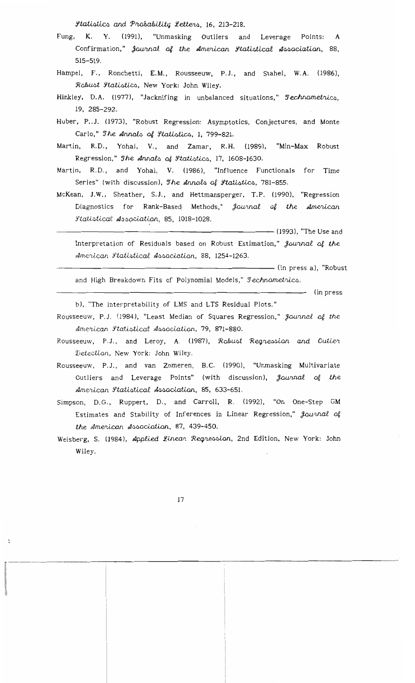*Statistics and Probability Letters, 16, 213-218.* 

- Fung, K. Y. (1991), "Unmasking Outliers and Leverage Points: A Confirmation," Journal of the American Itatistical Association, 88, 515-519.
- Hampel, F., Ronchetti, E.M., Rousseeuw, P.J., and Stahel, W.A. (1986), Robust Ftatistics, New York: John Wiley.
- Hinkley, D.A. (1977), "Jacknifing in unbalanced situations," Technometrics, 19, 285-292.
- Huber, P.J. (1973), "Robust Regression: Asymptotics, Conjectures, and Monte Carlo," The Annals of Itatistics, 1, 799-821.
- Martin, R.D., Yohai, V., and Zamar, R.H. (1989), "Min-Max Robust Regression," The Annals of Itatistics, 17, 1608-1630.
- Martin, R.D., and Yohai, V. (1986), "Influence Functionals for Time Series" (with discussion), The Annals of *Statistics*, 781-855.
- McKean, J.W., Sheather, S.J., and Hettmansperger, T.P. (1990), "Regression Diagnostics for Rank-Based Methods," Journal of the American *Statistical Association*, 85, 1018-1028.

Interpretation of Residuals based on Robust Estimation," Journal of the American Statistical Association, 88, 1254-1263.

and High Breakdown Fits of Polynomial Models," Jechnametrics.

—— (in press

b), "The interpretability of LMS and LTS Residual Plots."

- Rousseeuw, P.J. (1984), "Least Median of Squares Regression," *Journal of the* American Itatistical Association, 79, 871-880.
- Rousseeuw, P.J., and Leroy, A. (1987), Rabust Regression and Outier Detection, New York: John Wiley.
- Rousseeuw, P.J., and van Zomeren, B.C. (1990), "Unmasking Multivariate Outliers and Leverage Points" (with discussion), *Journal of the* American Itatistical Association, 85, 633-651.
- Simpson, D.G., Ruppert, D., and Carroll, R. (1992), "On One-Step GM Estimates and Stability of Inferences in Linear Regression," Journal of the American Association, 87, 439-450.
- Weisberg, S. (1984), Applied Linear Regression, 2nd Edition, New York: John Wiley.

 $\ddot{\phantom{a}}$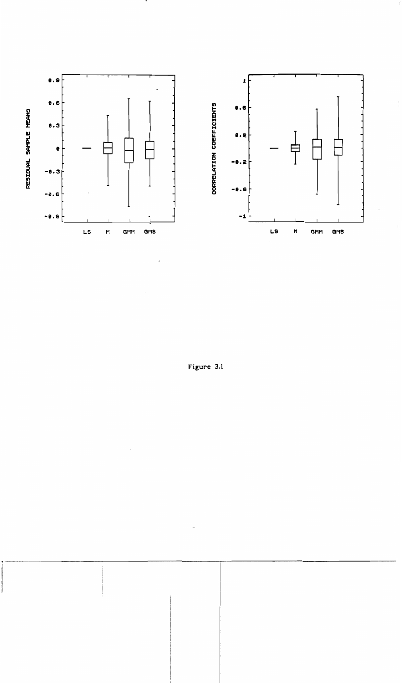

 $\bullet$ 

Figure 3.1

 $\hat{\mathcal{L}}$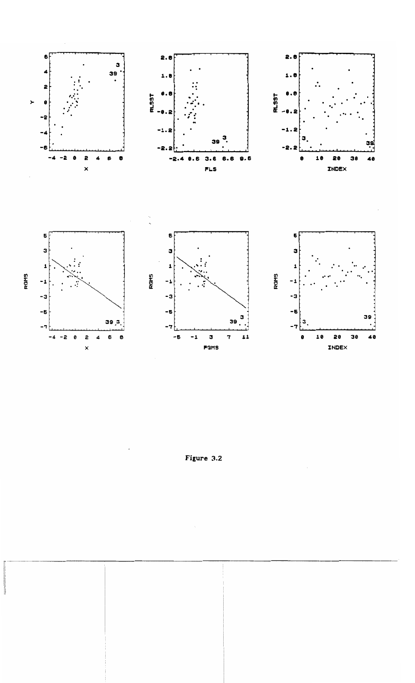

Figure 3.2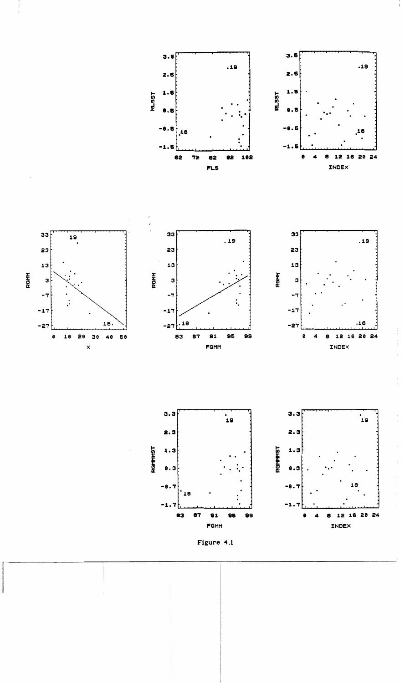







 $\begin{array}{c} \begin{array}{c} 1 \\ 1 \end{array} \\ \begin{array}{c} 1 \end{array} \\ \begin{array}{c} 1 \end{array} \\ \begin{array}{c} 1 \end{array} \\ \begin{array}{c} 1 \end{array} \\ \begin{array}{c} 1 \end{array} \\ \begin{array}{c} 1 \end{array} \\ \begin{array}{c} 1 \end{array} \\ \begin{array}{c} 1 \end{array} \\ \begin{array}{c} 1 \end{array} \\ \begin{array}{c} 1 \end{array} \\ \begin{array}{c} 1 \end{array} \\ \begin{array}{c} 1 \end{array} \\ \begin{array}{c} 1 \end{array} \\$ 

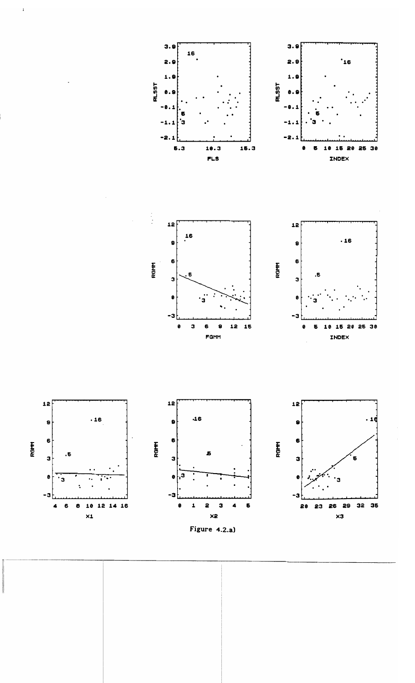



Figure 4.2.a)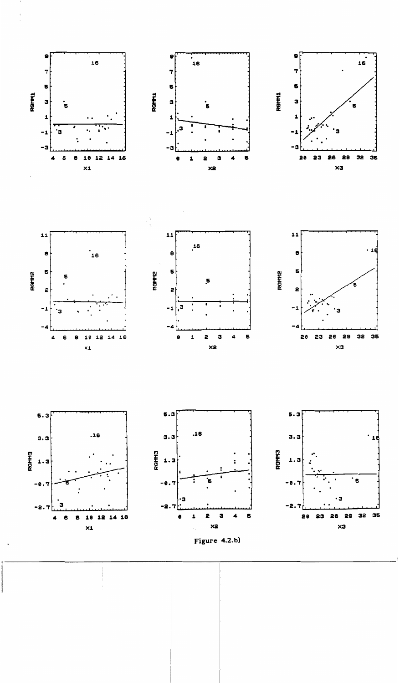













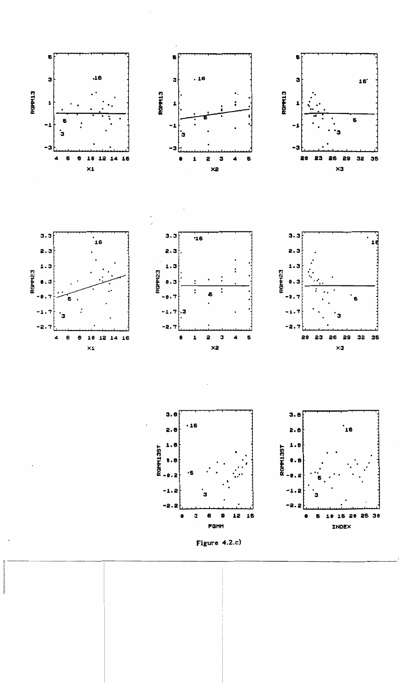